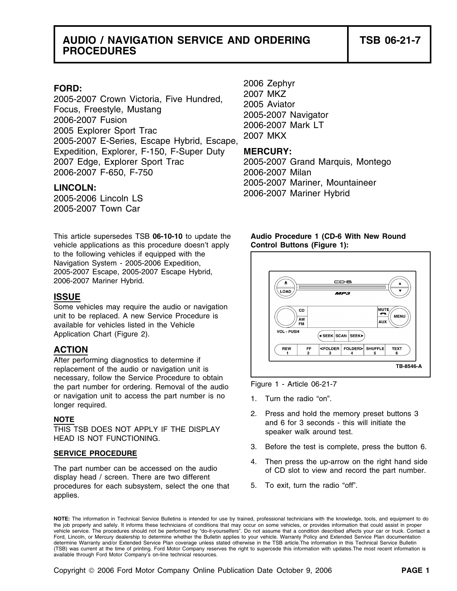## **AUDIO / NAVIGATION SERVICE AND ORDERING TSB 06-21-7 PROCEDURES**

FORD:<br>
2005-2007 Crown Victoria, Five Hundred, 2007 MKZ<br>
Focus, Freestyle, Mustang 2006-2007 Aviator<br>
2006-2007 Fusion 2005-2007 Navigator<br>
2005-2007 Explorer Sport Trac 2006-2007 Mark LT<br>
2005-2007 E-Series, Escape Hybrid Expedition, Explorer, F-150, F-Super Duty **MERCURY:** 2007 Edge, Explorer Sport Trac 2005-2007 Grand Marquis, Montego 2006-2007 F-650, F-750 2006-2007 Milan

2005-2007 Town Car

This article supersedes TSB **06-10-10** to update the **Audio Procedure 1 (CD-6 With New Round** vehicle applications as this procedure doesn't apply **Control Buttons (Figure 1):**  to the following vehicles if equipped with the Navigation System - 2005-2006 Expedition, 2005-2007 Escape, 2005-2007 Escape Hybrid, 2006-2007 Mariner Hybrid.

## **ISSUE**

Some vehicles may require the audio or navigation unit to be replaced. A new Service Procedure is available for vehicles listed in the Vehicle Application Chart (Figure 2).

## **ACTION**

After performing diagnostics to determine if replacement of the audio or navigation unit is necessary, follow the Service Procedure to obtain<br>the part number for ordering. Removal of the audio or navigation unit to access the part number is no  $1.$  Turn the radio "on". longer required.

THIS TSB DOES NOT APPLY IF THE DISPLAY speaker walk around test.<br>HEAD IS NOT FUNCTIONING.

The part number can be accessed on the audio<br>display head / screen. There are two different<br>procedures for each subsystem select the one that 5. To exit, turn the radio "off". procedures for each subsystem, select the one that applies.

2005-2007 Mariner, Mountaineer **LINCOLN:** 2006-2007 Mariner Hybrid 2005-2006 Lincoln LS



- 
- **NOTE**<br>2. Press and hold the memory preset buttons 3<br>and 6 for 3 seconds this will initiate the
- 3. Before the test is complete, press the button 6. **SERVICE PROCEDURE**
	-
	-

**NOTE:** The information in Technical Service Bulletins is intended for use by trained, professional technicians with the knowledge, tools, and equipment to do the job properly and safely. It informs these technicians of conditions that may occur on some vehicles, or provides information that could assist in proper<br>vehicle service. The procedures should not be performed by "do-it Ford, Lincoln, or Mercury dealership to determine whether the Bulletin applies to your vehicle. Warranty Policy and Extended Service Plan documentation determine Warranty and/or Extended Service Plan coverage unless stated otherwise in the TSB article.The information in this Technical Service Bulletin (TSB) was current at the time of printing. Ford Motor Company reserves the right to supercede this information with updates.The most recent information is available through Ford Motor Company's on-line technical resources.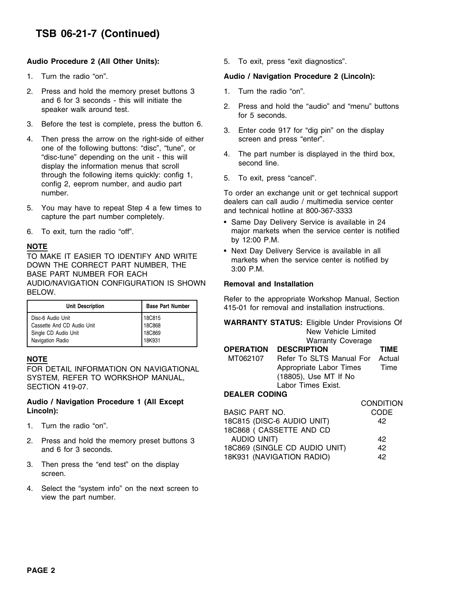## **TSB 06-21-7 (Continued)**

### **Audio Procedure 2 (All Other Units):** 5. To exit, press "exit diagnostics".

- 
- 2. Press and hold the memory preset buttons 3 1. Turn the radio "on". and 6 for 3 seconds - this will initiate the
- 3. Before the test is complete, press the button 6. 3. Enter code 917 for "dig pin" on the display
- 4. Then press the arrow on the right-side of either screen and press "enter". one of the following buttons: "disc", "tune", or<br>
"disc-tune" depending on the unit - this will <br>
displayed in the third box,<br>
displayed in the third box,<br>
second line. through the following items quickly: config 1, 5. To exit, press "cancel".<br>
config 2, eeprom number, and audio part<br>
To order an exchange unit
- 5. You may have to repeat Step 4 a few times to and technical hotline at 800-367-3333 capture the part number completely.
- 

NOTE<br>
TO MAKE IT EASIER TO IDENTIFY AND WRITE<br>
DOWN THE CORRECT PART NUMBER, THE markets when the service center is notified by<br>
BASE PART NUMBER FOR EACH<br>
BASE PART NUMBER FOR EACH AUDIO/NAVIGATION CONFIGURATION IS SHOWN **Removal and Installation**  BELOW.

| <b>Unit Description</b>                                                                     | <b>Base Part Number</b>              | <b>INCICE to the appropriate Workshop Manual, Occilent</b><br>415-01 for removal and installation instructions. |
|---------------------------------------------------------------------------------------------|--------------------------------------|-----------------------------------------------------------------------------------------------------------------|
| Disc-6 Audio Unit<br>Cassette And CD Audio Unit<br>Single CD Audio Unit<br>Navigation Radio | 18C815<br>18C868<br>18C869<br>18K931 | <b>WARRANTY STATUS: Eligible Under Provisions Of</b><br>New Vehicle Limited<br><b>Warranty Coverage</b>         |

# **Audio / Navigation Procedure 1 (All Except CONDITION CONDITION**

- 1. Turn the radio "on".
- 2. Press and hold the memory preset buttons 3 and 6 for 3 seconds.
- 3. Then press the "end test" on the display screen.
- 4. Select the "system info" on the next screen to view the part number.

### 1. Turn the radio "on". **Audio / Navigation Procedure 2 (Lincoln):**

- 
- speaker walk around test.<br>
2. Press and hold the "audio" and "menu" buttons for 5 seconds.
	-
	-
	-

To order an exchange unit or get technical support dealers can call audio / multimedia service center

- Same Day Delivery Service is available in 24 6. To exit, turn the radio "off". major markets when the service center is notified by 12:00 P.M. **NOTE**
	- Next Day Delivery Service is available in all

Refer to the appropriate Workshop Manual, Section 415-01 for removal and installation instructions.

| <b>DISCU AUUIU UTIIL</b><br>Cassette And CD Audio Unit<br>Single CD Audio Unit<br>Navigation Radio | 100010<br>18C868<br>18C869<br>18K931 |                              | <b>WARRANTY STATUS: Eligible Under Provisions Of</b><br>New Vehicle Limited<br><b>Warranty Coverage</b> |                |
|----------------------------------------------------------------------------------------------------|--------------------------------------|------------------------------|---------------------------------------------------------------------------------------------------------|----------------|
| NOTE                                                                                               |                                      | <b>OPERATION</b><br>MT062107 | <b>DESCRIPTION</b><br>Refer To SLTS Manual For                                                          | TIME<br>Actual |
| FOR DETAIL INFORMATION ON NAVIGATIONAL<br>SYSTEM, REFER TO WORKSHOP MANUAL,<br>SECTION 419-07.     |                                      |                              | Appropriate Labor Times<br>(18805), Use MT If No<br>Labor Times Exist.                                  | Time           |
|                                                                                                    |                                      | <b>AARILIA</b>               |                                                                                                         |                |

### **DEALER CODING**

|                                               | <b>UUNUHU</b><br><b>BASIC PART NO.</b><br><b>CODE</b><br>18C815 (DISC-6 AUDIO UNIT)<br>42<br>18C868 (CASSETTE AND CD |    |
|-----------------------------------------------|----------------------------------------------------------------------------------------------------------------------|----|
| Lincoln):                                     |                                                                                                                      |    |
| 1. Turn the radio "on".                       |                                                                                                                      |    |
| 2. Press and hold the memory preset buttons 3 | AUDIO UNIT)                                                                                                          | 42 |
| and 6 for 3 seconds.                          | 18C869 (SINGLE CD AUDIO UNIT)                                                                                        | 42 |
|                                               | 18K931 (NAVIGATION RADIO)                                                                                            | 42 |